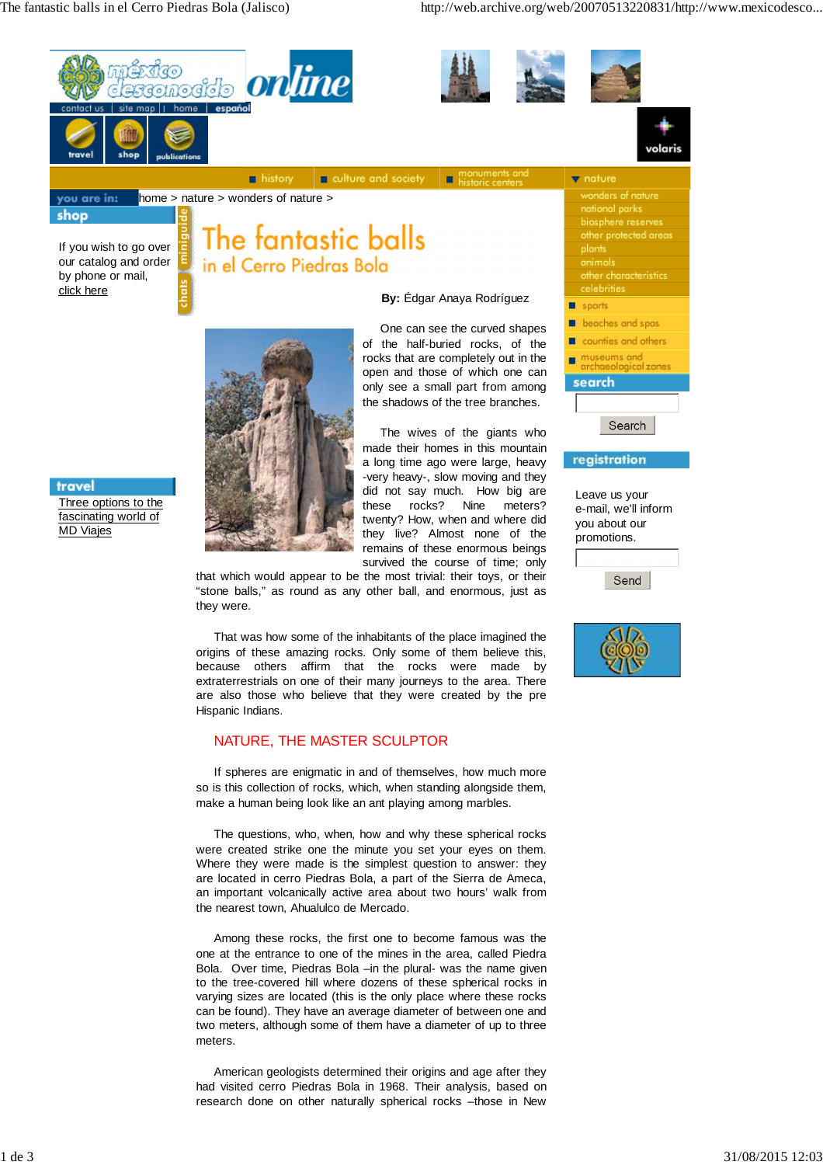The fantastic balls in el Cerro Piedras Bola (Jalisco) http://web.archive.org/web/20070513220831/http://www.mexicodesco...



that which would appear to be the most trivial: their toys, or their "stone balls," as round as any other ball, and enormous, just as they were.

That was how some of the inhabitants of the place imagined the origins of these amazing rocks. Only some of them believe this, because others affirm that the rocks were made by extraterrestrials on one of their many journeys to the area. There are also those who believe that they were created by the pre Hispanic Indians.

## NATURE, THE MASTER SCULPTOR

If spheres are enigmatic in and of themselves, how much more so is this collection of rocks, which, when standing alongside them, make a human being look like an ant playing among marbles.

The questions, who, when, how and why these spherical rocks were created strike one the minute you set your eyes on them. Where they were made is the simplest question to answer: they are located in cerro Piedras Bola, a part of the Sierra de Ameca, an important volcanically active area about two hours' walk from the nearest town, Ahualulco de Mercado.

Among these rocks, the first one to become famous was the one at the entrance to one of the mines in the area, called Piedra Bola. Over time, Piedras Bola –in the plural- was the name given to the tree-covered hill where dozens of these spherical rocks in varying sizes are located (this is the only place where these rocks can be found). They have an average diameter of between one and two meters, although some of them have a diameter of up to three meters.

American geologists determined their origins and age after they had visited cerro Piedras Bola in 1968. Their analysis, based on research done on other naturally spherical rocks –those in New



Send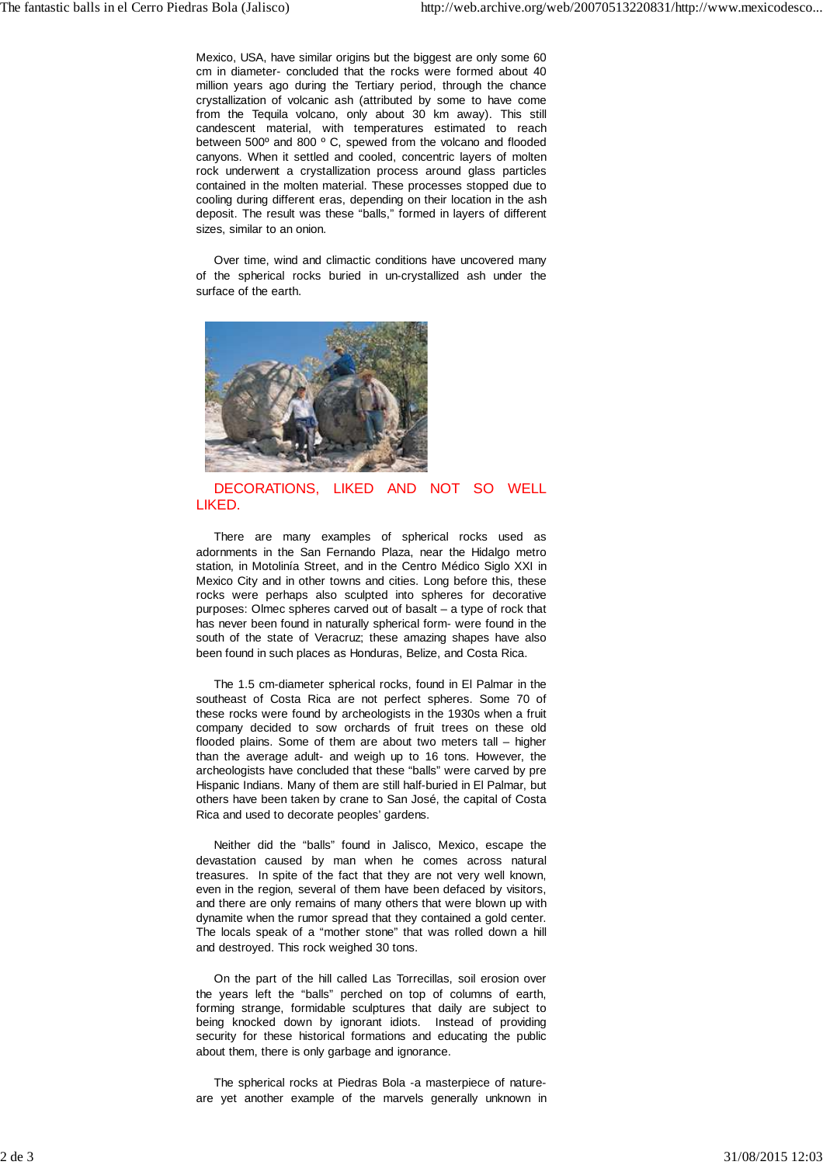Mexico, USA, have similar origins but the biggest are only some 60 cm in diameter- concluded that the rocks were formed about 40 million years ago during the Tertiary period, through the chance crystallization of volcanic ash (attributed by some to have come from the Tequila volcano, only about 30 km away). This still candescent material, with temperatures estimated to reach between 500º and 800 º C, spewed from the volcano and flooded canyons. When it settled and cooled, concentric layers of molten rock underwent a crystallization process around glass particles contained in the molten material. These processes stopped due to cooling during different eras, depending on their location in the ash deposit. The result was these "balls," formed in layers of different sizes, similar to an onion.

Over time, wind and climactic conditions have uncovered many of the spherical rocks buried in un-crystallized ash under the surface of the earth.



## DECORATIONS, LIKED AND NOT SO WELL LIKED.

There are many examples of spherical rocks used as adornments in the San Fernando Plaza, near the Hidalgo metro station, in Motolinía Street, and in the Centro Médico Siglo XXI in Mexico City and in other towns and cities. Long before this, these rocks were perhaps also sculpted into spheres for decorative purposes: Olmec spheres carved out of basalt – a type of rock that has never been found in naturally spherical form- were found in the south of the state of Veracruz; these amazing shapes have also been found in such places as Honduras, Belize, and Costa Rica.

The 1.5 cm-diameter spherical rocks, found in El Palmar in the southeast of Costa Rica are not perfect spheres. Some 70 of these rocks were found by archeologists in the 1930s when a fruit company decided to sow orchards of fruit trees on these old flooded plains. Some of them are about two meters tall – higher than the average adult- and weigh up to 16 tons. However, the archeologists have concluded that these "balls" were carved by pre Hispanic Indians. Many of them are still half-buried in El Palmar, but others have been taken by crane to San José, the capital of Costa Rica and used to decorate peoples' gardens.

Neither did the "balls" found in Jalisco, Mexico, escape the devastation caused by man when he comes across natural treasures. In spite of the fact that they are not very well known, even in the region, several of them have been defaced by visitors, and there are only remains of many others that were blown up with dynamite when the rumor spread that they contained a gold center. The locals speak of a "mother stone" that was rolled down a hill and destroyed. This rock weighed 30 tons.

On the part of the hill called Las Torrecillas, soil erosion over the years left the "balls" perched on top of columns of earth, forming strange, formidable sculptures that daily are subject to being knocked down by ignorant idiots. Instead of providing security for these historical formations and educating the public about them, there is only garbage and ignorance.

The spherical rocks at Piedras Bola -a masterpiece of natureare yet another example of the marvels generally unknown in